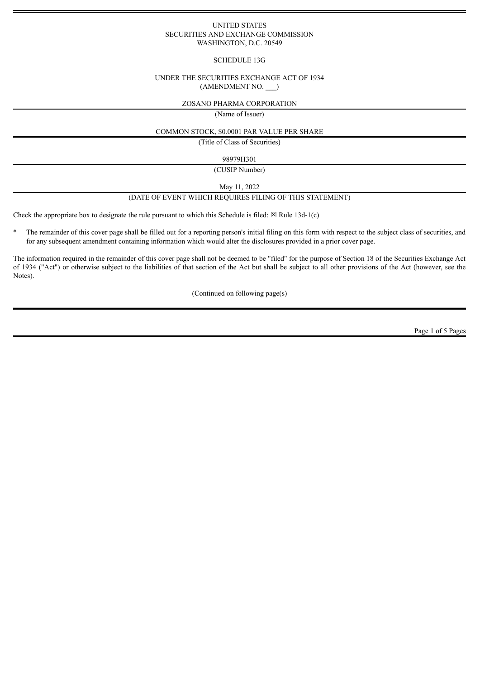### UNITED STATES SECURITIES AND EXCHANGE COMMISSION WASHINGTON, D.C. 20549

## SCHEDULE 13G

### UNDER THE SECURITIES EXCHANGE ACT OF 1934 (AMENDMENT NO. \_\_\_)

### ZOSANO PHARMA CORPORATION

(Name of Issuer)

### COMMON STOCK, \$0.0001 PAR VALUE PER SHARE

(Title of Class of Securities)

### 98979H301

(CUSIP Number)

May 11, 2022

# (DATE OF EVENT WHICH REQUIRES FILING OF THIS STATEMENT)

Check the appropriate box to designate the rule pursuant to which this Schedule is filed:  $\boxtimes$  Rule 13d-1(c)

\* The remainder of this cover page shall be filled out for a reporting person's initial filing on this form with respect to the subject class of securities, and for any subsequent amendment containing information which would alter the disclosures provided in a prior cover page.

The information required in the remainder of this cover page shall not be deemed to be "filed" for the purpose of Section 18 of the Securities Exchange Act of 1934 ("Act") or otherwise subject to the liabilities of that section of the Act but shall be subject to all other provisions of the Act (however, see the Notes).

(Continued on following page(s)

Page 1 of 5 Pages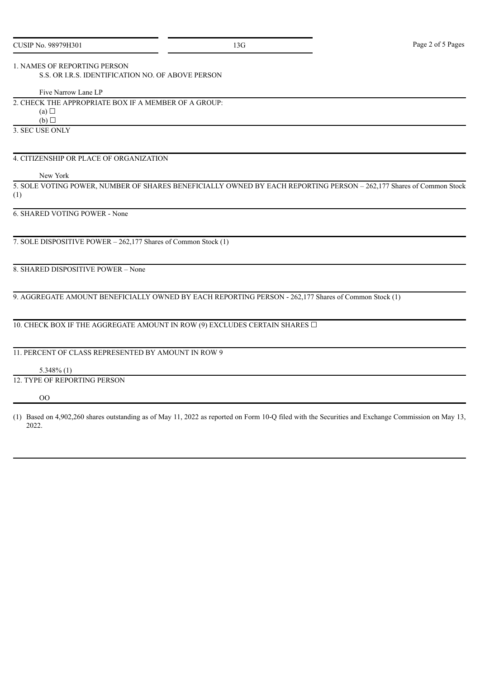## 1. NAMES OF REPORTING PERSON

S.S. OR I.R.S. IDENTIFICATION NO. OF ABOVE PERSON

Five Narrow Lane LP

2. CHECK THE APPROPRIATE BOX IF A MEMBER OF A GROUP:

 $(a)$  $\Box$ 

 $(b)$  $\Box$ 

3. SEC USE ONLY

## 4. CITIZENSHIP OR PLACE OF ORGANIZATION

New York

5. SOLE VOTING POWER, NUMBER OF SHARES BENEFICIALLY OWNED BY EACH REPORTING PERSON – 262,177 Shares of Common Stock (1)

## 6. SHARED VOTING POWER - None

7. SOLE DISPOSITIVE POWER – 262,177 Shares of Common Stock (1)

8. SHARED DISPOSITIVE POWER – None

9. AGGREGATE AMOUNT BENEFICIALLY OWNED BY EACH REPORTING PERSON - 262,177 Shares of Common Stock (1)

10. CHECK BOX IF THE AGGREGATE AMOUNT IN ROW (9) EXCLUDES CERTAIN SHARES  $\Box$ 

# 11. PERCENT OF CLASS REPRESENTED BY AMOUNT IN ROW 9

5.348% (1)

# 12. TYPE OF REPORTING PERSON

#### OO

(1) Based on 4,902,260 shares outstanding as of May 11, 2022 as reported on Form 10-Q filed with the Securities and Exchange Commission on May 13, 2022.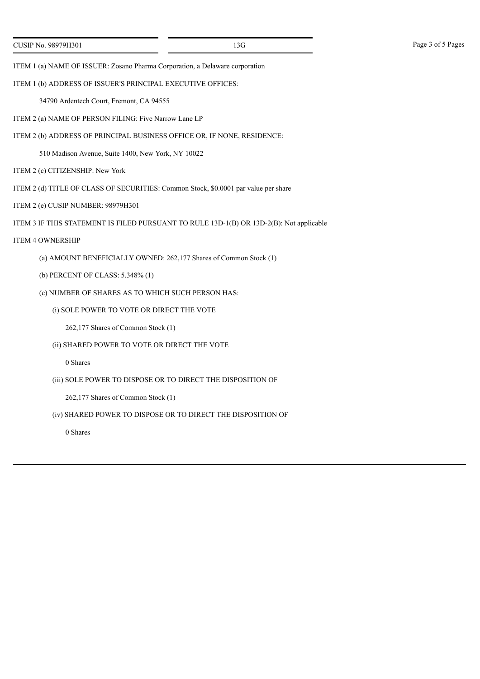ITEM 1 (a) NAME OF ISSUER: Zosano Pharma Corporation, a Delaware corporation

ITEM 1 (b) ADDRESS OF ISSUER'S PRINCIPAL EXECUTIVE OFFICES:

34790 Ardentech Court, Fremont, CA 94555

- ITEM 2 (a) NAME OF PERSON FILING: Five Narrow Lane LP
- ITEM 2 (b) ADDRESS OF PRINCIPAL BUSINESS OFFICE OR, IF NONE, RESIDENCE:

510 Madison Avenue, Suite 1400, New York, NY 10022

- ITEM 2 (c) CITIZENSHIP: New York
- ITEM 2 (d) TITLE OF CLASS OF SECURITIES: Common Stock, \$0.0001 par value per share
- ITEM 2 (e) CUSIP NUMBER: 98979H301
- ITEM 3 IF THIS STATEMENT IS FILED PURSUANT TO RULE 13D-1(B) OR 13D-2(B): Not applicable
- ITEM 4 OWNERSHIP
	- (a) AMOUNT BENEFICIALLY OWNED: 262,177 Shares of Common Stock (1)
	- (b) PERCENT OF CLASS: 5.348% (1)
	- (c) NUMBER OF SHARES AS TO WHICH SUCH PERSON HAS:
		- (i) SOLE POWER TO VOTE OR DIRECT THE VOTE

262,177 Shares of Common Stock (1)

(ii) SHARED POWER TO VOTE OR DIRECT THE VOTE

0 Shares

(iii) SOLE POWER TO DISPOSE OR TO DIRECT THE DISPOSITION OF

262,177 Shares of Common Stock (1)

(iv) SHARED POWER TO DISPOSE OR TO DIRECT THE DISPOSITION OF

0 Shares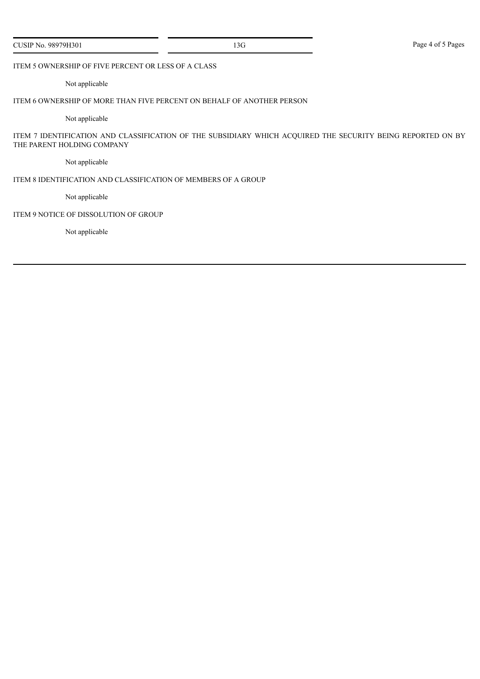|  |  |  | CUSIP No. 98979H301 |
|--|--|--|---------------------|
|--|--|--|---------------------|

## ITEM 5 OWNERSHIP OF FIVE PERCENT OR LESS OF A CLASS

## Not applicable

# ITEM 6 OWNERSHIP OF MORE THAN FIVE PERCENT ON BEHALF OF ANOTHER PERSON

Not applicable

ITEM 7 IDENTIFICATION AND CLASSIFICATION OF THE SUBSIDIARY WHICH ACQUIRED THE SECURITY BEING REPORTED ON BY THE PARENT HOLDING COMPANY

Not applicable

### ITEM 8 IDENTIFICATION AND CLASSIFICATION OF MEMBERS OF A GROUP

Not applicable

## ITEM 9 NOTICE OF DISSOLUTION OF GROUP

Not applicable